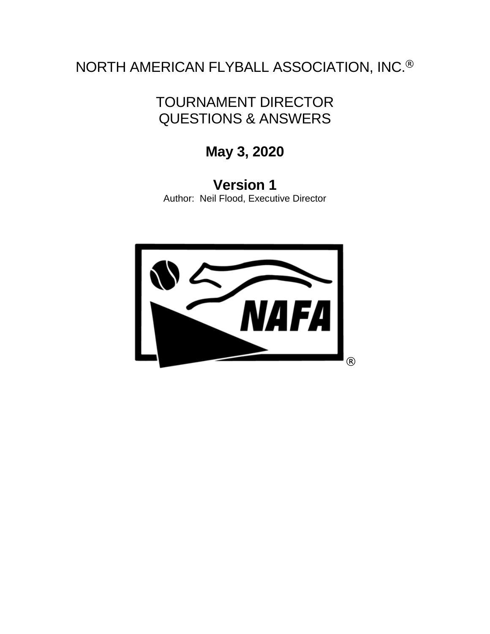NORTH AMERICAN FLYBALL ASSOCIATION, INC.®

# TOURNAMENT DIRECTOR QUESTIONS & ANSWERS

**May 3, 2020**

**Version 1** Author: Neil Flood, Executive Director

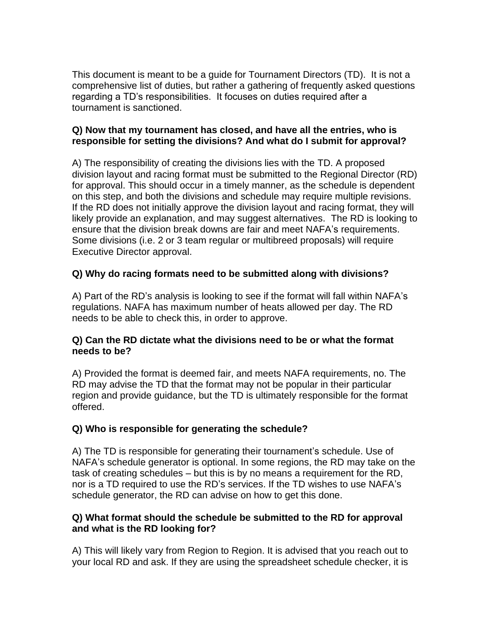This document is meant to be a guide for Tournament Directors (TD). It is not a comprehensive list of duties, but rather a gathering of frequently asked questions regarding a TD's responsibilities. It focuses on duties required after a tournament is sanctioned.

#### **Q) Now that my tournament has closed, and have all the entries, who is responsible for setting the divisions? And what do I submit for approval?**

A) The responsibility of creating the divisions lies with the TD. A proposed division layout and racing format must be submitted to the Regional Director (RD) for approval. This should occur in a timely manner, as the schedule is dependent on this step, and both the divisions and schedule may require multiple revisions. If the RD does not initially approve the division layout and racing format, they will likely provide an explanation, and may suggest alternatives. The RD is looking to ensure that the division break downs are fair and meet NAFA's requirements. Some divisions (i.e. 2 or 3 team regular or multibreed proposals) will require Executive Director approval.

## **Q) Why do racing formats need to be submitted along with divisions?**

A) Part of the RD's analysis is looking to see if the format will fall within NAFA's regulations. NAFA has maximum number of heats allowed per day. The RD needs to be able to check this, in order to approve.

#### **Q) Can the RD dictate what the divisions need to be or what the format needs to be?**

A) Provided the format is deemed fair, and meets NAFA requirements, no. The RD may advise the TD that the format may not be popular in their particular region and provide guidance, but the TD is ultimately responsible for the format offered.

### **Q) Who is responsible for generating the schedule?**

A) The TD is responsible for generating their tournament's schedule. Use of NAFA's schedule generator is optional. In some regions, the RD may take on the task of creating schedules – but this is by no means a requirement for the RD, nor is a TD required to use the RD's services. If the TD wishes to use NAFA's schedule generator, the RD can advise on how to get this done.

#### **Q) What format should the schedule be submitted to the RD for approval and what is the RD looking for?**

A) This will likely vary from Region to Region. It is advised that you reach out to your local RD and ask. If they are using the spreadsheet schedule checker, it is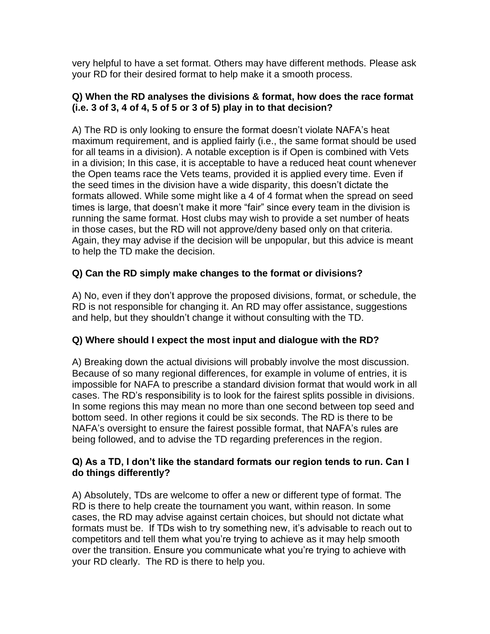very helpful to have a set format. Others may have different methods. Please ask your RD for their desired format to help make it a smooth process.

#### **Q) When the RD analyses the divisions & format, how does the race format (i.e. 3 of 3, 4 of 4, 5 of 5 or 3 of 5) play in to that decision?**

A) The RD is only looking to ensure the format doesn't violate NAFA's heat maximum requirement, and is applied fairly (i.e., the same format should be used for all teams in a division). A notable exception is if Open is combined with Vets in a division; In this case, it is acceptable to have a reduced heat count whenever the Open teams race the Vets teams, provided it is applied every time. Even if the seed times in the division have a wide disparity, this doesn't dictate the formats allowed. While some might like a 4 of 4 format when the spread on seed times is large, that doesn't make it more "fair" since every team in the division is running the same format. Host clubs may wish to provide a set number of heats in those cases, but the RD will not approve/deny based only on that criteria. Again, they may advise if the decision will be unpopular, but this advice is meant to help the TD make the decision.

## **Q) Can the RD simply make changes to the format or divisions?**

A) No, even if they don't approve the proposed divisions, format, or schedule, the RD is not responsible for changing it. An RD may offer assistance, suggestions and help, but they shouldn't change it without consulting with the TD.

## **Q) Where should I expect the most input and dialogue with the RD?**

A) Breaking down the actual divisions will probably involve the most discussion. Because of so many regional differences, for example in volume of entries, it is impossible for NAFA to prescribe a standard division format that would work in all cases. The RD's responsibility is to look for the fairest splits possible in divisions. In some regions this may mean no more than one second between top seed and bottom seed. In other regions it could be six seconds. The RD is there to be NAFA's oversight to ensure the fairest possible format, that NAFA's rules are being followed, and to advise the TD regarding preferences in the region.

#### **Q) As a TD, I don't like the standard formats our region tends to run. Can I do things differently?**

A) Absolutely, TDs are welcome to offer a new or different type of format. The RD is there to help create the tournament you want, within reason. In some cases, the RD may advise against certain choices, but should not dictate what formats must be. If TDs wish to try something new, it's advisable to reach out to competitors and tell them what you're trying to achieve as it may help smooth over the transition. Ensure you communicate what you're trying to achieve with your RD clearly. The RD is there to help you.